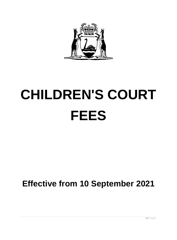

# **CHILDREN'S COURT FEES**

## **Effective from 10 September 2021**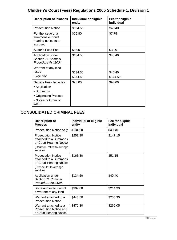## **Children's Court (Fees) Regulations 2005 Schedule 1, Division 1**

| <b>Description of Process</b>                                                                                         | Individual or eligible<br>entity | Fee for eligible<br>individual |
|-----------------------------------------------------------------------------------------------------------------------|----------------------------------|--------------------------------|
| <b>Prosecution Notice</b>                                                                                             | \$134.50                         | \$40.40                        |
| For the issue of a<br>summons or court<br>hearing notice to an<br>accused.                                            | \$25.80                          | \$7.75                         |
| Suitor's Fund Fee                                                                                                     | \$3.00                           | \$3.00                         |
| Application under<br>Section 71 Criminal<br>Procedure Act 2004                                                        | \$134.50                         | \$40.40                        |
| Warrant of any kind<br>Issue<br>Execution                                                                             | \$134.50<br>\$174.50             | \$40.40<br>\$174.50            |
| Service Fee - Includes:<br>• Application<br>$\cdot$ Summons<br>• Originating Process<br>• Notice or Order of<br>Court | \$96.00                          | \$96.00                        |

#### **CONSOLIDATED CRIMINAL FEES**

| <b>Description of</b><br><b>Process</b>                                                                                  | Individual or eligible<br>entity | Fee for eligible<br>individual |
|--------------------------------------------------------------------------------------------------------------------------|----------------------------------|--------------------------------|
| <b>Prosecution Notice only</b>                                                                                           | \$134.50                         | \$40.40                        |
| <b>Prosecution Notice</b><br>attached to a Summons<br>or Court Hearing Notice<br>(Court or Police to arrange<br>service) | \$259.30                         | \$147.15                       |
| <b>Prosecution Notice</b><br>attached to a Summons<br>or Court Hearing Notice<br>(Prosecutor to arrange<br>service)      | \$163.30                         | \$51.15                        |
| Application under<br>Section 71 Criminal<br>Procedure Act 2004                                                           | \$134.50                         | \$40.40                        |
| Issue and execution of<br>a warrant of any kind                                                                          | \$309.00                         | \$214.90                       |
| Warrant attached to a<br><b>Prosecution Notice</b>                                                                       | \$443.50                         | \$255.30                       |
| Warrant attached to a<br><b>Prosecution Notice and</b><br>a Court Hearing Notice                                         | \$472.30                         | \$266.05                       |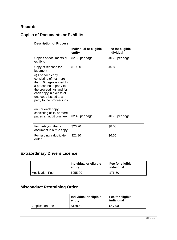#### **Records**

#### **Copies of Documents or Exhibits**

| <b>Description of Process</b>                                                                                                                                                                                                                 |                                  |                                |
|-----------------------------------------------------------------------------------------------------------------------------------------------------------------------------------------------------------------------------------------------|----------------------------------|--------------------------------|
|                                                                                                                                                                                                                                               | Individual or eligible<br>entity | Fee for eligible<br>individual |
| Copies of documents or<br>exhibits                                                                                                                                                                                                            | \$2.30 per page                  | \$0.70 per page                |
| Copy of reasons for<br>judgment<br>(i) For each copy<br>consisting of not more<br>than 10 pages issued to<br>a person not a party to<br>the proceedings and for<br>each copy in excess of<br>one copy issued to a<br>party to the proceedings | \$19.30                          | \$5.80                         |
| (ii) For each copy<br>consisting of 10 or more<br>pages an additional fee                                                                                                                                                                     | \$2.45 per page                  | \$0.75 per page                |
| For certifying that a<br>document is a true copy                                                                                                                                                                                              | \$26.70                          | \$8.00                         |
| For issuing a duplicate<br>order                                                                                                                                                                                                              | \$21.90                          | \$6.55                         |

## **Extraordinary Drivers Licence**

|                        | Individual or eligible<br>entity | Fee for eligible<br>individual |
|------------------------|----------------------------------|--------------------------------|
| <b>Application Fee</b> | \$255.00                         | \$76.50                        |

## **Misconduct Restraining Order**

|                        | Individual or eligible<br>entity | Fee for eligible<br>individual |
|------------------------|----------------------------------|--------------------------------|
| <b>Application Fee</b> | \$159.50                         | \$47.90                        |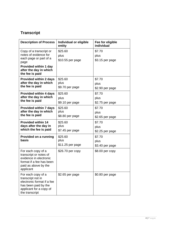## **Transcript**

| <b>Description of Process</b>                                                                                                                                   | Individual or eligible<br>entity    | Fee for eligible<br>individual    |
|-----------------------------------------------------------------------------------------------------------------------------------------------------------------|-------------------------------------|-----------------------------------|
| Copy of a transcript or<br>notes of evidence for<br>each page or part of a<br>page<br><b>Provided within 1 day</b><br>after the day in which<br>the fee is paid | \$25.60<br>plus<br>\$10.55 per page | \$7.70<br>plus<br>\$3.15 per page |
| <b>Provided within 2 days</b><br>after the day in which<br>the fee is paid                                                                                      | \$25.60<br>plus<br>\$9.70 per page  | \$7.70<br>plus<br>\$2.90 per page |
| <b>Provided within 4 days</b><br>after the day in which<br>the fee is paid                                                                                      | \$25.60<br>plus<br>\$9.10 per page  | \$7.70<br>plus<br>\$2.75 per page |
| <b>Provided within 7 days</b><br>after the day in which<br>the fee is paid                                                                                      | \$25.60<br>plus<br>\$8.80 per page  | \$7.70<br>plus<br>\$2.65 per page |
| <b>Provided within 14</b><br>days after the day in<br>which the fee is paid                                                                                     | \$25.60<br>plus<br>\$7.45 per page  | \$7.70<br>plus<br>\$2.25 per page |
| Provided on a running<br>basis                                                                                                                                  | \$25.60<br>plus<br>\$11.25 per page | \$7.70<br>plus<br>\$3.40 per page |
| For each copy of a<br>transcript or notes of<br>evidence in electronic<br>format if a fee has been<br>paid as above by the<br>applicant                         | \$26.70 per copy                    | $$8.00$ per copy                  |
| For each copy of a<br>transcript not in<br>electronic format if a fee<br>has been paid by the<br>applicant for a copy of<br>the transcript                      | \$2.65 per page                     | \$0.80 per page                   |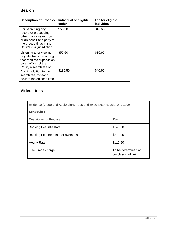#### **Search**

| <b>Description of Process</b>                                                                                                                              | Individual or eligible<br>entity | Fee for eligible<br>individual |
|------------------------------------------------------------------------------------------------------------------------------------------------------------|----------------------------------|--------------------------------|
| For searching any<br>record or proceeding<br>other than a search by<br>or on behalf of a party to<br>the proceedings in the<br>Court's civil jurisdiction. | \$55.50                          | \$16.65                        |
| Listening to or viewing<br>any electronic recording<br>that requires supervision<br>by an officer of the<br>Court, a search fee of                         | \$55.50                          | \$16.65                        |
| And in addition to the<br>search fee, for each<br>hour of the officer's time.                                                                              | \$135.50                         | \$40.65                        |

#### **Video Links**

| Evidence (Video and Audio Links Fees and Expenses) Regulations 1999 |          |  |  |
|---------------------------------------------------------------------|----------|--|--|
| <b>Schedule 1</b>                                                   |          |  |  |
| <b>Description of Process</b>                                       | Fee      |  |  |
| <b>Booking Fee Intrastate</b>                                       | \$148.00 |  |  |
| Booking Fee Interstate or overseas                                  | \$219.00 |  |  |
| <b>Hourly Rate</b>                                                  | \$115.50 |  |  |
| To be determined at<br>Line usage charge<br>conclusion of link      |          |  |  |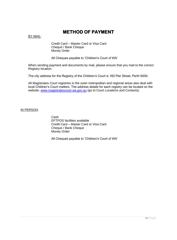#### **METHOD OF PAYMENT**

BY MAIL:

Credit Card – Master Card or Visa Card Cheque / Bank Cheque Money Order

All Cheques payable to 'Children's Court of WA'

When sending payment and documents by mail, please ensure that you mail to the correct Registry location.

The city address for the Registry of the Children's Court is 160 Pier Street, Perth 6000.

All Magistrates Court registries in the outer metropolitan and regional areas also deal with local Children's Court matters. The address details for each registry can be located on the website: [www.magistratescourt.wa.gov.au](http://www.magistratescourt.wa.gov.au/) (go to Court Locations and Contacts).

IN PERSON:

Cash EFTPOS facilities available Credit Card – Master Card or Visa Card Cheque / Bank Cheque Money Order

All Cheques payable to 'Children's Court of WA'